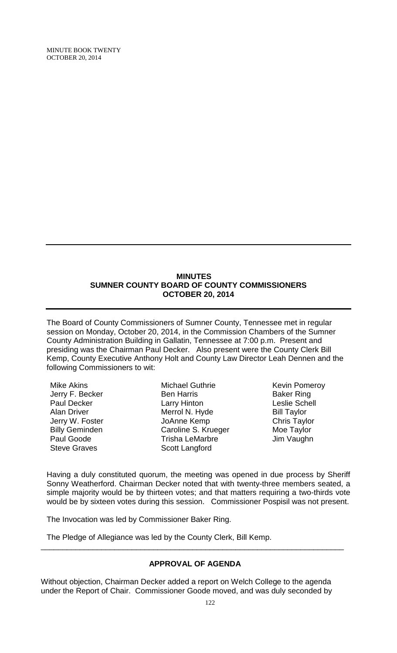MINUTE BOOK TWENTY OCTOBER 20, 2014

### **MINUTES SUMNER COUNTY BOARD OF COUNTY COMMISSIONERS OCTOBER 20, 2014**

The Board of County Commissioners of Sumner County, Tennessee met in regular session on Monday, October 20, 2014, in the Commission Chambers of the Sumner County Administration Building in Gallatin, Tennessee at 7:00 p.m. Present and presiding was the Chairman Paul Decker. Also present were the County Clerk Bill Kemp, County Executive Anthony Holt and County Law Director Leah Dennen and the following Commissioners to wit:

Mike Akins Jerry F. Becker Paul Decker Alan Driver Jerry W. Foster Billy Geminden Paul Goode Steve Graves

Michael Guthrie Ben Harris Larry Hinton Merrol N. Hyde JoAnne Kemp Caroline S. Krueger Trisha LeMarbre Scott Langford

Kevin Pomeroy Baker Ring Leslie Schell Bill Taylor Chris Taylor Moe Taylor Jim Vaughn

Having a duly constituted quorum, the meeting was opened in due process by Sheriff Sonny Weatherford. Chairman Decker noted that with twenty-three members seated, a simple majority would be by thirteen votes; and that matters requiring a two-thirds vote would be by sixteen votes during this session. Commissioner Pospisil was not present.

The Invocation was led by Commissioner Baker Ring.

The Pledge of Allegiance was led by the County Clerk, Bill Kemp.

# **APPROVAL OF AGENDA**

\_\_\_\_\_\_\_\_\_\_\_\_\_\_\_\_\_\_\_\_\_\_\_\_\_\_\_\_\_\_\_\_\_\_\_\_\_\_\_\_\_\_\_\_\_\_\_\_\_\_\_\_\_\_\_\_\_\_\_\_\_\_\_\_\_\_\_\_\_\_

Without objection, Chairman Decker added a report on Welch College to the agenda under the Report of Chair. Commissioner Goode moved, and was duly seconded by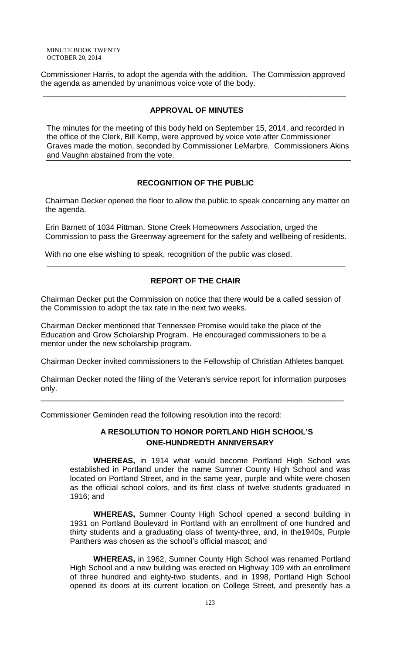Commissioner Harris, to adopt the agenda with the addition. The Commission approved the agenda as amended by unanimous voice vote of the body.

\_\_\_\_\_\_\_\_\_\_\_\_\_\_\_\_\_\_\_\_\_\_\_\_\_\_\_\_\_\_\_\_\_\_\_\_\_\_\_\_\_\_\_\_\_\_\_\_\_\_\_\_\_\_\_\_\_\_\_\_\_\_\_\_\_\_\_\_\_\_

# **APPROVAL OF MINUTES**

The minutes for the meeting of this body held on September 15, 2014, and recorded in the office of the Clerk, Bill Kemp, were approved by voice vote after Commissioner Graves made the motion, seconded by Commissioner LeMarbre. Commissioners Akins and Vaughn abstained from the vote.

# **RECOGNITION OF THE PUBLIC**

 Chairman Decker opened the floor to allow the public to speak concerning any matter on the agenda.

 Erin Barnett of 1034 Pittman, Stone Creek Homeowners Association, urged the Commission to pass the Greenway agreement for the safety and wellbeing of residents.

With no one else wishing to speak, recognition of the public was closed.

# **REPORT OF THE CHAIR**

\_\_\_\_\_\_\_\_\_\_\_\_\_\_\_\_\_\_\_\_\_\_\_\_\_\_\_\_\_\_\_\_\_\_\_\_\_\_\_\_\_\_\_\_\_\_\_\_\_\_\_\_\_\_\_\_\_\_\_\_\_\_\_\_\_\_\_\_\_

Chairman Decker put the Commission on notice that there would be a called session of the Commission to adopt the tax rate in the next two weeks.

Chairman Decker mentioned that Tennessee Promise would take the place of the Education and Grow Scholarship Program. He encouraged commissioners to be a mentor under the new scholarship program.

Chairman Decker invited commissioners to the Fellowship of Christian Athletes banquet.

Chairman Decker noted the filing of the Veteran's service report for information purposes only.

\_\_\_\_\_\_\_\_\_\_\_\_\_\_\_\_\_\_\_\_\_\_\_\_\_\_\_\_\_\_\_\_\_\_\_\_\_\_\_\_\_\_\_\_\_\_\_\_\_\_\_\_\_\_\_\_\_\_\_\_\_\_\_\_\_\_\_\_\_\_

Commissioner Geminden read the following resolution into the record:

# **A RESOLUTION TO HONOR PORTLAND HIGH SCHOOL'S ONE-HUNDREDTH ANNIVERSARY**

**WHEREAS,** in 1914 what would become Portland High School was established in Portland under the name Sumner County High School and was located on Portland Street, and in the same year, purple and white were chosen as the official school colors, and its first class of twelve students graduated in 1916; and

**WHEREAS,** Sumner County High School opened a second building in 1931 on Portland Boulevard in Portland with an enrollment of one hundred and thirty students and a graduating class of twenty-three, and, in the1940s, Purple Panthers was chosen as the school's official mascot; and

**WHEREAS,** in 1962, Sumner County High School was renamed Portland High School and a new building was erected on Highway 109 with an enrollment of three hundred and eighty-two students, and in 1998, Portland High School opened its doors at its current location on College Street, and presently has a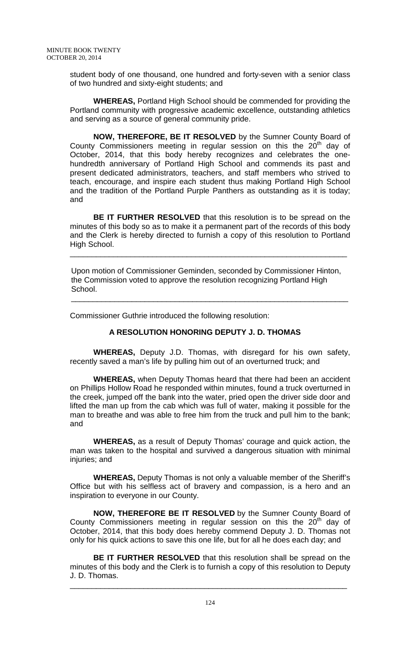student body of one thousand, one hundred and forty-seven with a senior class of two hundred and sixty-eight students; and

**WHEREAS,** Portland High School should be commended for providing the Portland community with progressive academic excellence, outstanding athletics and serving as a source of general community pride.

**NOW, THEREFORE, BE IT RESOLVED** by the Sumner County Board of County Commissioners meeting in regular session on this the  $20<sup>th</sup>$  day of October, 2014, that this body hereby recognizes and celebrates the onehundredth anniversary of Portland High School and commends its past and present dedicated administrators, teachers, and staff members who strived to teach, encourage, and inspire each student thus making Portland High School and the tradition of the Portland Purple Panthers as outstanding as it is today; and

**BE IT FURTHER RESOLVED** that this resolution is to be spread on the minutes of this body so as to make it a permanent part of the records of this body and the Clerk is hereby directed to furnish a copy of this resolution to Portland High School.

 Upon motion of Commissioner Geminden, seconded by Commissioner Hinton, the Commission voted to approve the resolution recognizing Portland High School.

\_\_\_\_\_\_\_\_\_\_\_\_\_\_\_\_\_\_\_\_\_\_\_\_\_\_\_\_\_\_\_\_\_\_\_\_\_\_\_\_\_\_\_\_\_\_\_\_\_\_\_\_\_\_\_\_\_\_\_\_\_\_\_\_

\_\_\_\_\_\_\_\_\_\_\_\_\_\_\_\_\_\_\_\_\_\_\_\_\_\_\_\_\_\_\_\_\_\_\_\_\_\_\_\_\_\_\_\_\_\_\_\_\_\_\_\_\_\_\_\_\_\_\_\_\_\_\_\_

Commissioner Guthrie introduced the following resolution:

# **A RESOLUTION HONORING DEPUTY J. D. THOMAS**

**WHEREAS,** Deputy J.D. Thomas, with disregard for his own safety, recently saved a man's life by pulling him out of an overturned truck; and

**WHEREAS,** when Deputy Thomas heard that there had been an accident on Phillips Hollow Road he responded within minutes, found a truck overturned in the creek, jumped off the bank into the water, pried open the driver side door and lifted the man up from the cab which was full of water, making it possible for the man to breathe and was able to free him from the truck and pull him to the bank; and

**WHEREAS,** as a result of Deputy Thomas' courage and quick action, the man was taken to the hospital and survived a dangerous situation with minimal injuries; and

**WHEREAS,** Deputy Thomas is not only a valuable member of the Sheriff's Office but with his selfless act of bravery and compassion, is a hero and an inspiration to everyone in our County.

**NOW, THEREFORE BE IT RESOLVED** by the Sumner County Board of County Commissioners meeting in regular session on this the  $20<sup>th</sup>$  day of October, 2014, that this body does hereby commend Deputy J. D. Thomas not only for his quick actions to save this one life, but for all he does each day; and

**BE IT FURTHER RESOLVED** that this resolution shall be spread on the minutes of this body and the Clerk is to furnish a copy of this resolution to Deputy J. D. Thomas.

\_\_\_\_\_\_\_\_\_\_\_\_\_\_\_\_\_\_\_\_\_\_\_\_\_\_\_\_\_\_\_\_\_\_\_\_\_\_\_\_\_\_\_\_\_\_\_\_\_\_\_\_\_\_\_\_\_\_\_\_\_\_\_\_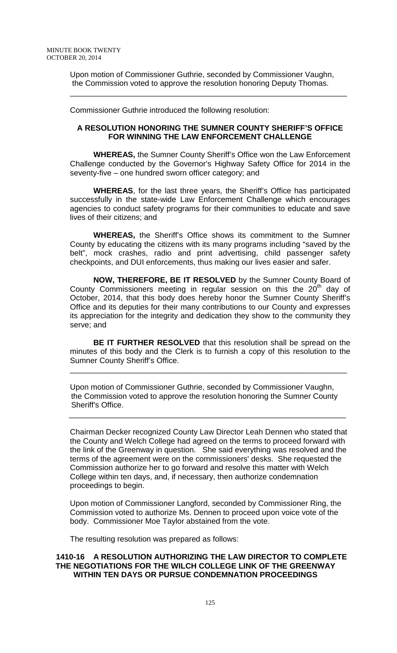Upon motion of Commissioner Guthrie, seconded by Commissioner Vaughn, the Commission voted to approve the resolution honoring Deputy Thomas.

\_\_\_\_\_\_\_\_\_\_\_\_\_\_\_\_\_\_\_\_\_\_\_\_\_\_\_\_\_\_\_\_\_\_\_\_\_\_\_\_\_\_\_\_\_\_\_\_\_\_\_\_\_\_\_\_\_\_\_\_\_\_\_\_

Commissioner Guthrie introduced the following resolution:

### **A RESOLUTION HONORING THE SUMNER COUNTY SHERIFF'S OFFICE FOR WINNING THE LAW ENFORCEMENT CHALLENGE**

**WHEREAS,** the Sumner County Sheriff's Office won the Law Enforcement Challenge conducted by the Governor's Highway Safety Office for 2014 in the seventy-five – one hundred sworn officer category; and

**WHEREAS**, for the last three years, the Sheriff's Office has participated successfully in the state-wide Law Enforcement Challenge which encourages agencies to conduct safety programs for their communities to educate and save lives of their citizens; and

**WHEREAS,** the Sheriff's Office shows its commitment to the Sumner County by educating the citizens with its many programs including "saved by the belt", mock crashes, radio and print advertising, child passenger safety checkpoints, and DUI enforcements, thus making our lives easier and safer.

**NOW, THEREFORE, BE IT RESOLVED** by the Sumner County Board of County Commissioners meeting in regular session on this the  $20<sup>th</sup>$  day of October, 2014, that this body does hereby honor the Sumner County Sheriff's Office and its deputies for their many contributions to our County and expresses its appreciation for the integrity and dedication they show to the community they serve; and

**BE IT FURTHER RESOLVED** that this resolution shall be spread on the minutes of this body and the Clerk is to furnish a copy of this resolution to the Sumner County Sheriff's Office.

\_\_\_\_\_\_\_\_\_\_\_\_\_\_\_\_\_\_\_\_\_\_\_\_\_\_\_\_\_\_\_\_\_\_\_\_\_\_\_\_\_\_\_\_\_\_\_\_\_\_\_\_\_\_\_\_\_\_\_\_\_\_\_\_

Upon motion of Commissioner Guthrie, seconded by Commissioner Vaughn, the Commission voted to approve the resolution honoring the Sumner County Sheriff's Office.

\_\_\_\_\_\_\_\_\_\_\_\_\_\_\_\_\_\_\_\_\_\_\_\_\_\_\_\_\_\_\_\_\_\_\_\_\_\_\_\_\_\_\_\_\_\_\_\_\_\_\_\_\_\_\_\_\_\_\_\_\_\_\_\_

Chairman Decker recognized County Law Director Leah Dennen who stated that the County and Welch College had agreed on the terms to proceed forward with the link of the Greenway in question. She said everything was resolved and the terms of the agreement were on the commissioners' desks. She requested the Commission authorize her to go forward and resolve this matter with Welch College within ten days, and, if necessary, then authorize condemnation proceedings to begin.

Upon motion of Commissioner Langford, seconded by Commissioner Ring, the Commission voted to authorize Ms. Dennen to proceed upon voice vote of the body. Commissioner Moe Taylor abstained from the vote.

The resulting resolution was prepared as follows:

# **1410-16 A RESOLUTION AUTHORIZING THE LAW DIRECTOR TO COMPLETE THE NEGOTIATIONS FOR THE WILCH COLLEGE LINK OF THE GREENWAY WITHIN TEN DAYS OR PURSUE CONDEMNATION PROCEEDINGS**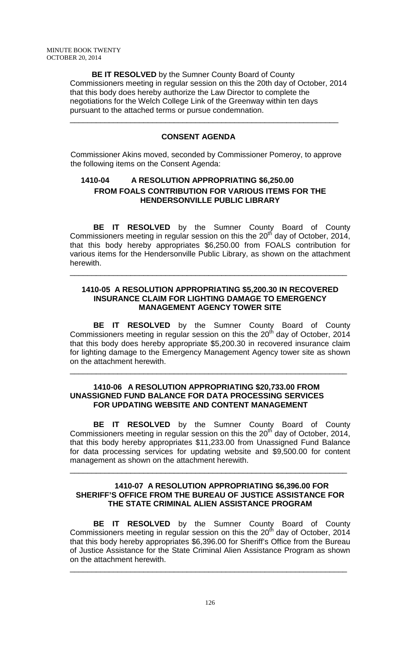**BE IT RESOLVED** by the Sumner County Board of County Commissioners meeting in regular session on this the 20th day of October, 2014 that this body does hereby authorize the Law Director to complete the negotiations for the Welch College Link of the Greenway within ten days pursuant to the attached terms or pursue condemnation.

# **CONSENT AGENDA**

\_\_\_\_\_\_\_\_\_\_\_\_\_\_\_\_\_\_\_\_\_\_\_\_\_\_\_\_\_\_\_\_\_\_\_\_\_\_\_\_\_\_\_\_\_\_\_\_\_\_\_\_\_\_\_\_\_\_\_\_\_\_

Commissioner Akins moved, seconded by Commissioner Pomeroy, to approve the following items on the Consent Agenda:

# **1410-04 A RESOLUTION APPROPRIATING \$6,250.00 FROM FOALS CONTRIBUTION FOR VARIOUS ITEMS FOR THE HENDERSONVILLE PUBLIC LIBRARY**

**BE IT RESOLVED** by the Sumner County Board of County Commissioners meeting in regular session on this the  $20<sup>th</sup>$  day of October, 2014, that this body hereby appropriates \$6,250.00 from FOALS contribution for various items for the Hendersonville Public Library, as shown on the attachment herewith.

# **1410-05 A RESOLUTION APPROPRIATING \$5,200.30 IN RECOVERED INSURANCE CLAIM FOR LIGHTING DAMAGE TO EMERGENCY MANAGEMENT AGENCY TOWER SITE**

\_\_\_\_\_\_\_\_\_\_\_\_\_\_\_\_\_\_\_\_\_\_\_\_\_\_\_\_\_\_\_\_\_\_\_\_\_\_\_\_\_\_\_\_\_\_\_\_\_\_\_\_\_\_\_\_\_\_\_\_\_\_\_\_

**BE IT RESOLVED** by the Sumner County Board of County Commissioners meeting in regular session on this the  $20<sup>th</sup>$  day of October, 2014 that this body does hereby appropriate \$5,200.30 in recovered insurance claim for lighting damage to the Emergency Management Agency tower site as shown on the attachment herewith.

\_\_\_\_\_\_\_\_\_\_\_\_\_\_\_\_\_\_\_\_\_\_\_\_\_\_\_\_\_\_\_\_\_\_\_\_\_\_\_\_\_\_\_\_\_\_\_\_\_\_\_\_\_\_\_\_\_\_\_\_\_\_\_\_

### **1410-06 A RESOLUTION APPROPRIATING \$20,733.00 FROM UNASSIGNED FUND BALANCE FOR DATA PROCESSING SERVICES FOR UPDATING WEBSITE AND CONTENT MANAGEMENT**

**BE IT RESOLVED** by the Sumner County Board of County Commissioners meeting in regular session on this the  $20<sup>th</sup>$  day of October, 2014, that this body hereby appropriates \$11,233.00 from Unassigned Fund Balance for data processing services for updating website and \$9,500.00 for content management as shown on the attachment herewith.

### **1410-07 A RESOLUTION APPROPRIATING \$6,396.00 FOR SHERIFF'S OFFICE FROM THE BUREAU OF JUSTICE ASSISTANCE FOR THE STATE CRIMINAL ALIEN ASSISTANCE PROGRAM**

\_\_\_\_\_\_\_\_\_\_\_\_\_\_\_\_\_\_\_\_\_\_\_\_\_\_\_\_\_\_\_\_\_\_\_\_\_\_\_\_\_\_\_\_\_\_\_\_\_\_\_\_\_\_\_\_\_\_\_\_\_\_\_\_

**BE IT RESOLVED** by the Sumner County Board of County Commissioners meeting in regular session on this the 20<sup>th</sup> day of October, 2014 that this body hereby appropriates \$6,396.00 for Sheriff's Office from the Bureau of Justice Assistance for the State Criminal Alien Assistance Program as shown on the attachment herewith.

\_\_\_\_\_\_\_\_\_\_\_\_\_\_\_\_\_\_\_\_\_\_\_\_\_\_\_\_\_\_\_\_\_\_\_\_\_\_\_\_\_\_\_\_\_\_\_\_\_\_\_\_\_\_\_\_\_\_\_\_\_\_\_\_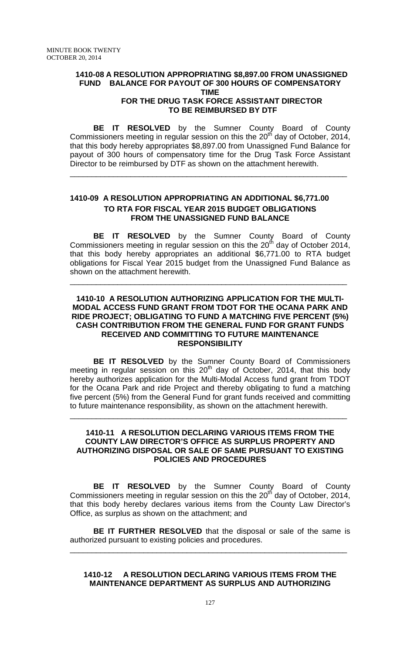# **1410-08 A RESOLUTION APPROPRIATING \$8,897.00 FROM UNASSIGNED FUND BALANCE FOR PAYOUT OF 300 HOURS OF COMPENSATORY TIME**

# **FOR THE DRUG TASK FORCE ASSISTANT DIRECTOR TO BE REIMBURSED BY DTF**

**BE IT RESOLVED** by the Sumner County Board of County Commissioners meeting in regular session on this the  $20<sup>th</sup>$  day of October, 2014, that this body hereby appropriates \$8,897.00 from Unassigned Fund Balance for payout of 300 hours of compensatory time for the Drug Task Force Assistant Director to be reimbursed by DTF as shown on the attachment herewith.

\_\_\_\_\_\_\_\_\_\_\_\_\_\_\_\_\_\_\_\_\_\_\_\_\_\_\_\_\_\_\_\_\_\_\_\_\_\_\_\_\_\_\_\_\_\_\_\_\_\_\_\_\_\_\_\_\_\_\_\_\_\_\_\_

# **1410-09 A RESOLUTION APPROPRIATING AN ADDITIONAL \$6,771.00 TO RTA FOR FISCAL YEAR 2015 BUDGET OBLIGATIONS FROM THE UNASSIGNED FUND BALANCE**

**BE IT RESOLVED** by the Sumner County Board of County Commissioners meeting in regular session on this the  $20<sup>th</sup>$  day of October 2014, that this body hereby appropriates an additional \$6,771.00 to RTA budget obligations for Fiscal Year 2015 budget from the Unassigned Fund Balance as shown on the attachment herewith.

\_\_\_\_\_\_\_\_\_\_\_\_\_\_\_\_\_\_\_\_\_\_\_\_\_\_\_\_\_\_\_\_\_\_\_\_\_\_\_\_\_\_\_\_\_\_\_\_\_\_\_\_\_\_\_\_\_\_\_\_\_\_\_\_

### **1410-10 A RESOLUTION AUTHORIZING APPLICATION FOR THE MULTI-MODAL ACCESS FUND GRANT FROM TDOT FOR THE OCANA PARK AND RIDE PROJECT; OBLIGATING TO FUND A MATCHING FIVE PERCENT (5%) CASH CONTRIBUTION FROM THE GENERAL FUND FOR GRANT FUNDS RECEIVED AND COMMITTING TO FUTURE MAINTENANCE RESPONSIBILITY**

**BE IT RESOLVED** by the Sumner County Board of Commissioners meeting in regular session on this  $20<sup>th</sup>$  day of October, 2014, that this body hereby authorizes application for the Multi-Modal Access fund grant from TDOT for the Ocana Park and ride Project and thereby obligating to fund a matching five percent (5%) from the General Fund for grant funds received and committing to future maintenance responsibility, as shown on the attachment herewith.

### **1410-11 A RESOLUTION DECLARING VARIOUS ITEMS FROM THE COUNTY LAW DIRECTOR'S OFFICE AS SURPLUS PROPERTY AND AUTHORIZING DISPOSAL OR SALE OF SAME PURSUANT TO EXISTING POLICIES AND PROCEDURES**

\_\_\_\_\_\_\_\_\_\_\_\_\_\_\_\_\_\_\_\_\_\_\_\_\_\_\_\_\_\_\_\_\_\_\_\_\_\_\_\_\_\_\_\_\_\_\_\_\_\_\_\_\_\_\_\_\_\_\_\_\_\_\_\_

**BE IT RESOLVED** by the Sumner County Board of County Commissioners meeting in regular session on this the  $20<sup>th</sup>$  day of October, 2014, that this body hereby declares various items from the County Law Director's Office, as surplus as shown on the attachment; and

**BE IT FURTHER RESOLVED** that the disposal or sale of the same is authorized pursuant to existing policies and procedures.

\_\_\_\_\_\_\_\_\_\_\_\_\_\_\_\_\_\_\_\_\_\_\_\_\_\_\_\_\_\_\_\_\_\_\_\_\_\_\_\_\_\_\_\_\_\_\_\_\_\_\_\_\_\_\_\_\_\_\_\_\_\_\_\_

# **1410-12 A RESOLUTION DECLARING VARIOUS ITEMS FROM THE MAINTENANCE DEPARTMENT AS SURPLUS AND AUTHORIZING**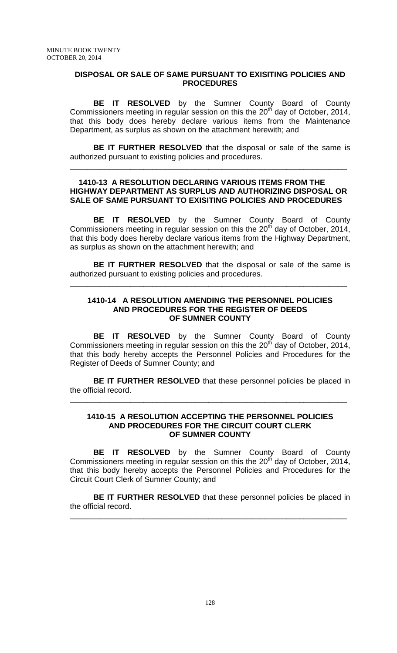### **DISPOSAL OR SALE OF SAME PURSUANT TO EXISITING POLICIES AND PROCEDURES**

**BE IT RESOLVED** by the Sumner County Board of County Commissioners meeting in regular session on this the  $20<sup>th</sup>$  day of October, 2014, that this body does hereby declare various items from the Maintenance Department, as surplus as shown on the attachment herewith; and

**BE IT FURTHER RESOLVED** that the disposal or sale of the same is authorized pursuant to existing policies and procedures.

\_\_\_\_\_\_\_\_\_\_\_\_\_\_\_\_\_\_\_\_\_\_\_\_\_\_\_\_\_\_\_\_\_\_\_\_\_\_\_\_\_\_\_\_\_\_\_\_\_\_\_\_\_\_\_\_\_\_\_\_\_\_\_\_

### **1410-13 A RESOLUTION DECLARING VARIOUS ITEMS FROM THE HIGHWAY DEPARTMENT AS SURPLUS AND AUTHORIZING DISPOSAL OR SALE OF SAME PURSUANT TO EXISITING POLICIES AND PROCEDURES**

**BE IT RESOLVED** by the Sumner County Board of County Commissioners meeting in regular session on this the  $20<sup>th</sup>$  day of October, 2014, that this body does hereby declare various items from the Highway Department, as surplus as shown on the attachment herewith; and

**BE IT FURTHER RESOLVED** that the disposal or sale of the same is authorized pursuant to existing policies and procedures.

\_\_\_\_\_\_\_\_\_\_\_\_\_\_\_\_\_\_\_\_\_\_\_\_\_\_\_\_\_\_\_\_\_\_\_\_\_\_\_\_\_\_\_\_\_\_\_\_\_\_\_\_\_\_\_\_\_\_\_\_\_\_\_\_

### **1410-14 A RESOLUTION AMENDING THE PERSONNEL POLICIES AND PROCEDURES FOR THE REGISTER OF DEEDS OF SUMNER COUNTY**

**BE IT RESOLVED** by the Sumner County Board of County Commissioners meeting in regular session on this the  $20<sup>th</sup>$  day of October, 2014, that this body hereby accepts the Personnel Policies and Procedures for the Register of Deeds of Sumner County; and

**BE IT FURTHER RESOLVED** that these personnel policies be placed in the official record.

\_\_\_\_\_\_\_\_\_\_\_\_\_\_\_\_\_\_\_\_\_\_\_\_\_\_\_\_\_\_\_\_\_\_\_\_\_\_\_\_\_\_\_\_\_\_\_\_\_\_\_\_\_\_\_\_\_\_\_\_\_\_\_\_

#### **1410-15 A RESOLUTION ACCEPTING THE PERSONNEL POLICIES AND PROCEDURES FOR THE CIRCUIT COURT CLERK OF SUMNER COUNTY**

**BE IT RESOLVED** by the Sumner County Board of County Commissioners meeting in regular session on this the  $20<sup>th</sup>$  day of October, 2014, that this body hereby accepts the Personnel Policies and Procedures for the Circuit Court Clerk of Sumner County; and

**BE IT FURTHER RESOLVED** that these personnel policies be placed in the official record.

\_\_\_\_\_\_\_\_\_\_\_\_\_\_\_\_\_\_\_\_\_\_\_\_\_\_\_\_\_\_\_\_\_\_\_\_\_\_\_\_\_\_\_\_\_\_\_\_\_\_\_\_\_\_\_\_\_\_\_\_\_\_\_\_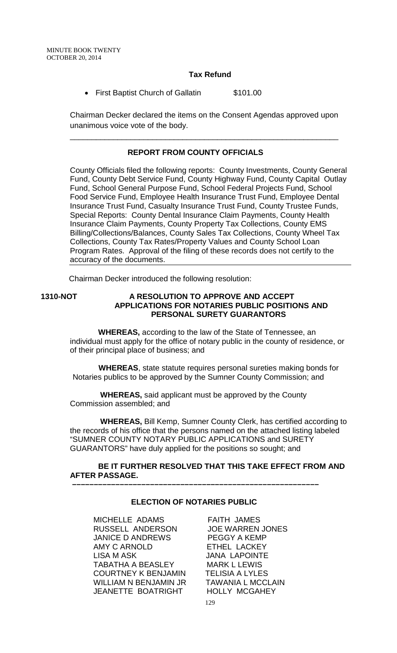# **Tax Refund**

• First Baptist Church of Gallatin \$101.00

Chairman Decker declared the items on the Consent Agendas approved upon unanimous voice vote of the body.

\_\_\_\_\_\_\_\_\_\_\_\_\_\_\_\_\_\_\_\_\_\_\_\_\_\_\_\_\_\_\_\_\_\_\_\_\_\_\_\_\_\_\_\_\_\_\_\_\_\_\_\_\_\_\_\_\_\_\_\_\_\_

# **REPORT FROM COUNTY OFFICIALS**

County Officials filed the following reports: County Investments, County General Fund, County Debt Service Fund, County Highway Fund, County Capital Outlay Fund, School General Purpose Fund, School Federal Projects Fund, School Food Service Fund, Employee Health Insurance Trust Fund, Employee Dental Insurance Trust Fund, Casualty Insurance Trust Fund, County Trustee Funds, Special Reports: County Dental Insurance Claim Payments, County Health Insurance Claim Payments, County Property Tax Collections, County EMS Billing/Collections/Balances, County Sales Tax Collections, County Wheel Tax Collections, County Tax Rates/Property Values and County School Loan Program Rates. Approval of the filing of these records does not certify to the accuracy of the documents.

Chairman Decker introduced the following resolution:

### **1310-NOT A RESOLUTION TO APPROVE AND ACCEPT APPLICATIONS FOR NOTARIES PUBLIC POSITIONS AND PERSONAL SURETY GUARANTORS**

 **WHEREAS,** according to the law of the State of Tennessee, an individual must apply for the office of notary public in the county of residence, or of their principal place of business; and

 **WHEREAS**, state statute requires personal sureties making bonds for Notaries publics to be approved by the Sumner County Commission; and

 **WHEREAS,** said applicant must be approved by the County Commission assembled; and

 **WHEREAS,** Bill Kemp, Sumner County Clerk, has certified according to the records of his office that the persons named on the attached listing labeled "SUMNER COUNTY NOTARY PUBLIC APPLICATIONS and SURETY GUARANTORS" have duly applied for the positions so sought; and

# **BE IT FURTHER RESOLVED THAT THIS TAKE EFFECT FROM AND AFTER PASSAGE.**

# **ELECTION OF NOTARIES PUBLIC**

 **–––––––––––––––––––––––––––––––––––––––––––––––––––––––––**

MICHELLE ADAMS FAITH JAMES RUSSELL ANDERSON JOE WARREN JONES JANICE D ANDREWS PEGGY A KEMP AMY C ARNOLD ETHEL LACKEY LISA M ASK JANA LAPOINTE<br>TABATHA A BEASLEY MARK L LEWIS TABATHA A BEASLEY MARK L LEWIS<br>COURTNEY K BENJAMIN TELISIA A LYLES COURTNEY K BENJAMIN TELISIA A LYLES<br>WILLIAM N BENJAMIN JR TAWANIA L MCCLAIN WILLIAM N BENJAMIN JR TAWANIA L MCCLA<br>JEANETTE BOATRIGHT HOLLY MCGAHEY **JEANETTE BOATRIGHT**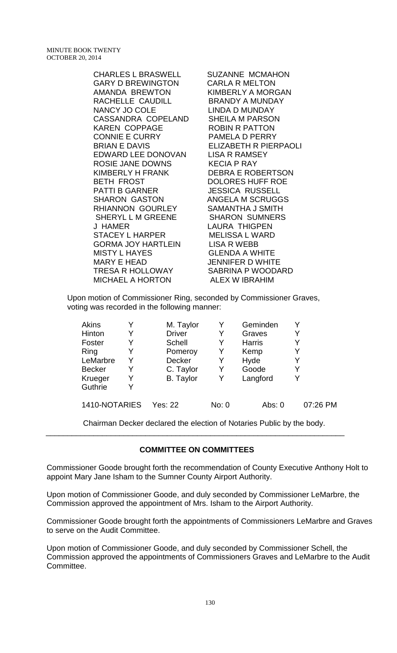MINUTE BOOK TWENTY OCTOBER 20, 2014

> GARY D BREWINGTON CARLA R MELTON AMANDA BREWTON KIMBERLY A MORGAN RACHELLE CAUDILL NANCY JO COLE LINDA D MUNDAY CASSANDRA COPELAND SHEILA M PARSON KAREN COPPAGE ROBIN R PATTON CONNIE E CURRY PAMELA D PERRY BRIAN E DAVIS ELIZABETH R PIERPAOLI EDWARD LEE DONOVAN LISA R RAMSEY ROSIE JANE DOWNS KECIA P RAY KIMBERLY H FRANK DEBRA E ROBERTSON BETH FROST DOLORES HUFF ROE PATTI B GARNER JESSICA RUSSELL SHARON GASTON ANGELA M SCRUGGS RHIANNON GOURLEY SAMANTHA J SMITH SHERYL L M GREENE SHARON SUMNERS J HAMER LAURA THIGPEN STACEY L HARPER GORMA JOY HARTLEIN LISA R WEBB MISTY L HAYES GLENDA A WHITE MARY E HEAD JENNIFER D WHITE TRESA R HOLLOWAY SABRINA P WOODARD<br>MICHAEL A HORTON ALEX W IBRAHIM MICHAEL A HORTON

> CHARLES L BRASWELL SUZANNE MCMAHON

Upon motion of Commissioner Ring, seconded by Commissioner Graves, voting was recorded in the following manner:

| Akins         |   | M. Taylor        |       | Geminden      |          |
|---------------|---|------------------|-------|---------------|----------|
| Hinton        | Y | <b>Driver</b>    |       | Graves        |          |
| Foster        | Y | <b>Schell</b>    |       | <b>Harris</b> |          |
| Ring          |   | Pomeroy          | Y     | Kemp          |          |
| LeMarbre      | Y | Decker           | Y     | Hyde          |          |
| <b>Becker</b> | Y | C. Taylor        | Y     | Goode         | Y        |
| Krueger       | Y | <b>B.</b> Taylor | Y     | Langford      |          |
| Guthrie       | Y |                  |       |               |          |
| 1410-NOTARIES |   | Yes: 22          | No: 0 | Abs: 0        | 07:26 PM |

Chairman Decker declared the election of Notaries Public by the body.

### **COMMITTEE ON COMMITTEES**

\_\_\_\_\_\_\_\_\_\_\_\_\_\_\_\_\_\_\_\_\_\_\_\_\_\_\_\_\_\_\_\_\_\_\_\_\_\_\_\_\_\_\_\_\_\_\_\_\_\_\_\_\_\_\_\_\_\_\_\_\_\_\_\_\_\_\_\_\_

Commissioner Goode brought forth the recommendation of County Executive Anthony Holt to appoint Mary Jane Isham to the Sumner County Airport Authority.

Upon motion of Commissioner Goode, and duly seconded by Commissioner LeMarbre, the Commission approved the appointment of Mrs. Isham to the Airport Authority.

Commissioner Goode brought forth the appointments of Commissioners LeMarbre and Graves to serve on the Audit Committee.

Upon motion of Commissioner Goode, and duly seconded by Commissioner Schell, the Commission approved the appointments of Commissioners Graves and LeMarbre to the Audit Committee.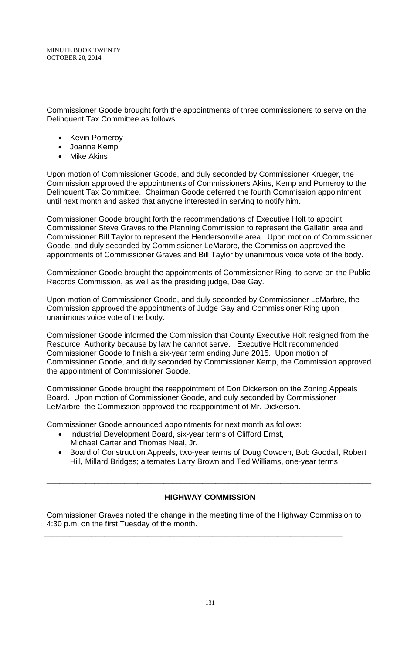Commissioner Goode brought forth the appointments of three commissioners to serve on the Delinquent Tax Committee as follows:

- Kevin Pomeroy
- Joanne Kemp
- Mike Akins

Upon motion of Commissioner Goode, and duly seconded by Commissioner Krueger, the Commission approved the appointments of Commissioners Akins, Kemp and Pomeroy to the Delinquent Tax Committee. Chairman Goode deferred the fourth Commission appointment until next month and asked that anyone interested in serving to notify him.

Commissioner Goode brought forth the recommendations of Executive Holt to appoint Commissioner Steve Graves to the Planning Commission to represent the Gallatin area and Commissioner Bill Taylor to represent the Hendersonville area. Upon motion of Commissioner Goode, and duly seconded by Commissioner LeMarbre, the Commission approved the appointments of Commissioner Graves and Bill Taylor by unanimous voice vote of the body.

Commissioner Goode brought the appointments of Commissioner Ring to serve on the Public Records Commission, as well as the presiding judge, Dee Gay.

Upon motion of Commissioner Goode, and duly seconded by Commissioner LeMarbre, the Commission approved the appointments of Judge Gay and Commissioner Ring upon unanimous voice vote of the body.

Commissioner Goode informed the Commission that County Executive Holt resigned from the Resource Authority because by law he cannot serve. Executive Holt recommended Commissioner Goode to finish a six-year term ending June 2015. Upon motion of Commissioner Goode, and duly seconded by Commissioner Kemp, the Commission approved the appointment of Commissioner Goode.

Commissioner Goode brought the reappointment of Don Dickerson on the Zoning Appeals Board. Upon motion of Commissioner Goode, and duly seconded by Commissioner LeMarbre, the Commission approved the reappointment of Mr. Dickerson.

Commissioner Goode announced appointments for next month as follows:

- Industrial Development Board, six-year terms of Clifford Ernst, Michael Carter and Thomas Neal, Jr.
- Board of Construction Appeals, two-year terms of Doug Cowden, Bob Goodall, Robert Hill, Millard Bridges; alternates Larry Brown and Ted Williams, one-year terms

# **HIGHWAY COMMISSION**

\_\_\_\_\_\_\_\_\_\_\_\_\_\_\_\_\_\_\_\_\_\_\_\_\_\_\_\_\_\_\_\_\_\_\_\_\_\_\_\_\_\_\_\_\_\_\_\_\_\_\_\_\_\_\_\_\_\_\_\_\_\_\_\_\_\_\_\_\_\_\_\_\_\_\_

Commissioner Graves noted the change in the meeting time of the Highway Commission to 4:30 p.m. on the first Tuesday of the month.

**\_\_\_\_\_\_\_\_\_\_\_\_\_\_\_\_\_\_\_\_\_\_\_\_\_\_\_\_\_\_\_\_\_\_\_\_\_\_\_\_\_\_\_\_\_\_\_\_\_\_\_\_\_\_\_\_\_\_\_\_\_\_\_\_\_\_\_\_\_**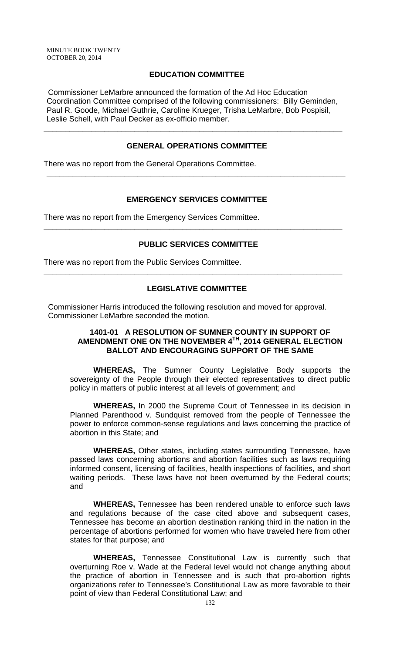# **EDUCATION COMMITTEE**

 Commissioner LeMarbre announced the formation of the Ad Hoc Education Coordination Committee comprised of the following commissioners: Billy Geminden, Paul R. Goode, Michael Guthrie, Caroline Krueger, Trisha LeMarbre, Bob Pospisil, Leslie Schell, with Paul Decker as ex-officio member.

**\_\_\_\_\_\_\_\_\_\_\_\_\_\_\_\_\_\_\_\_\_\_\_\_\_\_\_\_\_\_\_\_\_\_\_\_\_\_\_\_\_\_\_\_\_\_\_\_\_\_\_\_\_\_\_\_\_\_\_\_\_\_\_\_\_\_\_\_\_**

### **GENERAL OPERATIONS COMMITTEE**

There was no report from the General Operations Committee.

# **EMERGENCY SERVICES COMMITTEE**

**\_\_\_\_\_\_\_\_\_\_\_\_\_\_\_\_\_\_\_\_\_\_\_\_\_\_\_\_\_\_\_\_\_\_\_\_\_\_\_\_\_\_\_\_\_\_\_\_\_\_\_\_\_\_\_\_\_\_\_\_\_\_\_\_\_\_\_\_\_**

There was no report from the Emergency Services Committee.

### **PUBLIC SERVICES COMMITTEE**

**\_\_\_\_\_\_\_\_\_\_\_\_\_\_\_\_\_\_\_\_\_\_\_\_\_\_\_\_\_\_\_\_\_\_\_\_\_\_\_\_\_\_\_\_\_\_\_\_\_\_\_\_\_\_\_\_\_\_\_\_\_\_\_\_\_\_\_\_\_**

There was no report from the Public Services Committee.

### **LEGISLATIVE COMMITTEE**

**\_\_\_\_\_\_\_\_\_\_\_\_\_\_\_\_\_\_\_\_\_\_\_\_\_\_\_\_\_\_\_\_\_\_\_\_\_\_\_\_\_\_\_\_\_\_\_\_\_\_\_\_\_\_\_\_\_\_\_\_\_\_\_\_\_\_\_\_\_**

 Commissioner Harris introduced the following resolution and moved for approval. Commissioner LeMarbre seconded the motion.

### **1401-01 A RESOLUTION OF SUMNER COUNTY IN SUPPORT OF AMENDMENT ONE ON THE NOVEMBER 4TH, 2014 GENERAL ELECTION BALLOT AND ENCOURAGING SUPPORT OF THE SAME**

**WHEREAS,** The Sumner County Legislative Body supports the sovereignty of the People through their elected representatives to direct public policy in matters of public interest at all levels of government; and

**WHEREAS,** In 2000 the Supreme Court of Tennessee in its decision in Planned Parenthood v. Sundquist removed from the people of Tennessee the power to enforce common-sense regulations and laws concerning the practice of abortion in this State; and

**WHEREAS,** Other states, including states surrounding Tennessee, have passed laws concerning abortions and abortion facilities such as laws requiring informed consent, licensing of facilities, health inspections of facilities, and short waiting periods. These laws have not been overturned by the Federal courts; and

**WHEREAS,** Tennessee has been rendered unable to enforce such laws and regulations because of the case cited above and subsequent cases, Tennessee has become an abortion destination ranking third in the nation in the percentage of abortions performed for women who have traveled here from other states for that purpose; and

**WHEREAS,** Tennessee Constitutional Law is currently such that overturning Roe v. Wade at the Federal level would not change anything about the practice of abortion in Tennessee and is such that pro-abortion rights organizations refer to Tennessee's Constitutional Law as more favorable to their point of view than Federal Constitutional Law; and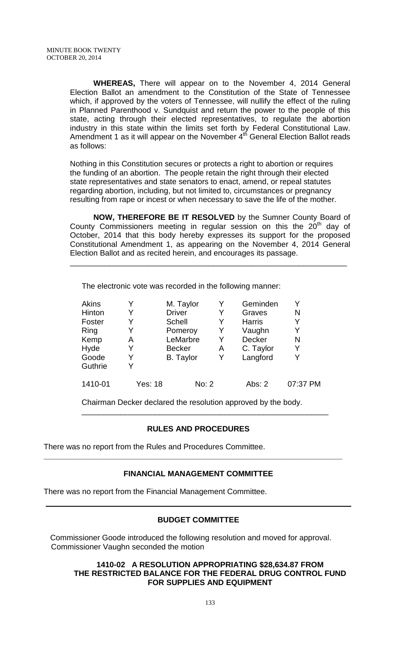**WHEREAS,** There will appear on to the November 4, 2014 General Election Ballot an amendment to the Constitution of the State of Tennessee which, if approved by the voters of Tennessee, will nullify the effect of the ruling in Planned Parenthood v. Sundquist and return the power to the people of this state, acting through their elected representatives, to regulate the abortion industry in this state within the limits set forth by Federal Constitutional Law. Amendment 1 as it will appear on the November 4<sup>th</sup> General Election Ballot reads as follows:

Nothing in this Constitution secures or protects a right to abortion or requires the funding of an abortion. The people retain the right through their elected state representatives and state senators to enact, amend, or repeal statutes regarding abortion, including, but not limited to, circumstances or pregnancy resulting from rape or incest or when necessary to save the life of the mother.

**NOW, THEREFORE BE IT RESOLVED** by the Sumner County Board of County Commissioners meeting in regular session on this the  $20<sup>th</sup>$  day of October, 2014 that this body hereby expresses its support for the proposed Constitutional Amendment 1, as appearing on the November 4, 2014 General Election Ballot and as recited herein, and encourages its passage.

\_\_\_\_\_\_\_\_\_\_\_\_\_\_\_\_\_\_\_\_\_\_\_\_\_\_\_\_\_\_\_\_\_\_\_\_\_\_\_\_\_\_\_\_\_\_\_\_\_\_\_\_\_\_\_\_\_\_\_\_\_\_\_\_

The electronic vote was recorded in the following manner:

| Akins   |                | M. Taylor        |   | Geminden      | Y        |
|---------|----------------|------------------|---|---------------|----------|
| Hinton  |                | <b>Driver</b>    | Y | Graves        | N        |
| Foster  | Y              | Schell           | Y | <b>Harris</b> | Y        |
| Ring    | Y              | Pomeroy          | Y | Vaughn        | Y        |
| Kemp    | Α              | LeMarbre         | Y | <b>Decker</b> | N        |
| Hyde    | Y              | <b>Becker</b>    | A | C. Taylor     | Y        |
| Goode   | Y              | <b>B.</b> Taylor | Y | Langford      | Y        |
| Guthrie | v              |                  |   |               |          |
| 1410-01 | <b>Yes: 18</b> | No: 2            |   | Abs: $2$      | 07:37 PM |

Chairman Decker declared the resolution approved by the body.

### **RULES AND PROCEDURES**

\_\_\_\_\_\_\_\_\_\_\_\_\_\_\_\_\_\_\_\_\_\_\_\_\_\_\_\_\_\_\_\_\_\_\_\_\_\_\_\_\_\_\_\_\_\_\_\_\_\_\_\_\_\_\_\_\_

There was no report from the Rules and Procedures Committee.

### **FINANCIAL MANAGEMENT COMMITTEE**

**\_\_\_\_\_\_\_\_\_\_\_\_\_\_\_\_\_\_\_\_\_\_\_\_\_\_\_\_\_\_\_\_\_\_\_\_\_\_\_\_\_\_\_\_\_\_\_\_\_\_\_\_\_\_\_\_\_\_\_\_\_\_\_\_\_\_\_\_\_**

There was no report from the Financial Management Committee.

### **BUDGET COMMITTEE**

 Commissioner Goode introduced the following resolution and moved for approval. Commissioner Vaughn seconded the motion

### **1410-02 A RESOLUTION APPROPRIATING \$28,634.87 FROM THE RESTRICTED BALANCE FOR THE FEDERAL DRUG CONTROL FUND FOR SUPPLIES AND EQUIPMENT**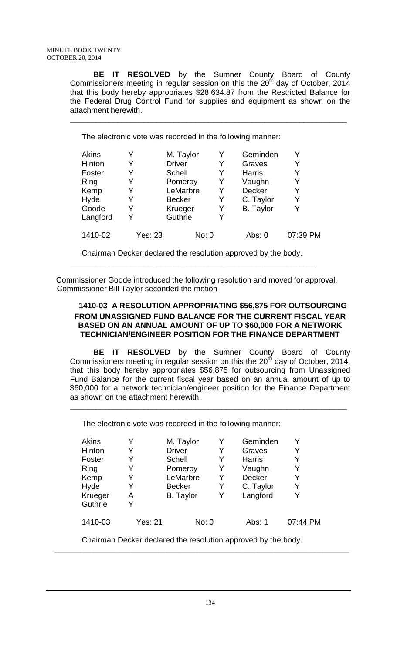**BE IT RESOLVED** by the Sumner County Board of County Commissioners meeting in regular session on this the  $20<sup>th</sup>$  day of October, 2014 that this body hereby appropriates \$28,634.87 from the Restricted Balance for the Federal Drug Control Fund for supplies and equipment as shown on the attachment herewith.

\_\_\_\_\_\_\_\_\_\_\_\_\_\_\_\_\_\_\_\_\_\_\_\_\_\_\_\_\_\_\_\_\_\_\_\_\_\_\_\_\_\_\_\_\_\_\_\_\_\_\_\_\_\_\_\_\_\_\_\_\_\_\_\_

The electronic vote was recorded in the following manner:

| Akins<br>Hinton<br>Foster<br>Ring | Y<br>Y  | M. Taylor<br><b>Driver</b><br>Schell<br>Pomeroy | Y<br>Y<br>Y | Geminden<br>Graves<br><b>Harris</b><br>Vaughn | Y<br>Y   |
|-----------------------------------|---------|-------------------------------------------------|-------------|-----------------------------------------------|----------|
| Kemp                              | Y       | LeMarbre                                        | Y           | <b>Decker</b>                                 | Y        |
| Hyde                              | Y       | <b>Becker</b>                                   | Y           | C. Taylor                                     | Y        |
| Goode                             | Y       | Krueger                                         | Y           | <b>B.</b> Taylor                              |          |
| Langford                          | Y       | Guthrie                                         |             |                                               |          |
| 1410-02                           | Yes: 23 | No: 0                                           |             | Abs: 0                                        | 07:39 PM |

Chairman Decker declared the resolution approved by the body. \_\_\_\_\_\_\_\_\_\_\_\_\_\_\_\_\_\_\_\_\_\_\_\_\_\_\_\_\_\_\_\_\_\_\_\_\_\_\_\_\_\_\_\_\_\_\_\_\_\_\_\_\_\_\_\_\_

 Commissioner Goode introduced the following resolution and moved for approval. Commissioner Bill Taylor seconded the motion

# **1410-03 A RESOLUTION APPROPRIATING \$56,875 FOR OUTSOURCING FROM UNASSIGNED FUND BALANCE FOR THE CURRENT FISCAL YEAR BASED ON AN ANNUAL AMOUNT OF UP TO \$60,000 FOR A NETWORK TECHNICIAN/ENGINEER POSITION FOR THE FINANCE DEPARTMENT**

**BE IT RESOLVED** by the Sumner County Board of County Commissioners meeting in regular session on this the 20<sup>th</sup> day of October, 2014, that this body hereby appropriates \$56,875 for outsourcing from Unassigned Fund Balance for the current fiscal year based on an annual amount of up to \$60,000 for a network technician/engineer position for the Finance Department as shown on the attachment herewith.

\_\_\_\_\_\_\_\_\_\_\_\_\_\_\_\_\_\_\_\_\_\_\_\_\_\_\_\_\_\_\_\_\_\_\_\_\_\_\_\_\_\_\_\_\_\_\_\_\_\_\_\_\_\_\_\_\_\_\_\_\_\_\_\_

The electronic vote was recorded in the following manner:

| <b>Akins</b> |                | M. Taylor        | Y     | Geminden      |          |
|--------------|----------------|------------------|-------|---------------|----------|
| Hinton       |                | <b>Driver</b>    | Y     | Graves        | Y        |
| Foster       | Y              | <b>Schell</b>    | Y     | <b>Harris</b> | Y        |
| Ring         | Y              | Pomeroy          | Y     | Vaughn        | Y        |
| Kemp         | Y              | LeMarbre         | Y     | <b>Decker</b> | Y        |
| Hyde         | Y              | <b>Becker</b>    | Y     | C. Taylor     | Y        |
| Krueger      | А              | <b>B.</b> Taylor | Y     | Langford      | Y        |
| Guthrie      | Y              |                  |       |               |          |
| 1410-03      | <b>Yes: 21</b> |                  | No: 0 | Abs: 1        | 07:44 PM |

Chairman Decker declared the resolution approved by the body.  **\_\_\_\_\_\_\_\_\_\_\_\_\_\_\_\_\_\_\_\_\_\_\_\_\_\_\_\_\_\_\_\_\_\_\_\_\_\_\_\_\_\_\_\_\_\_\_\_\_\_\_\_\_\_\_\_\_\_\_\_\_\_\_\_\_\_\_\_**